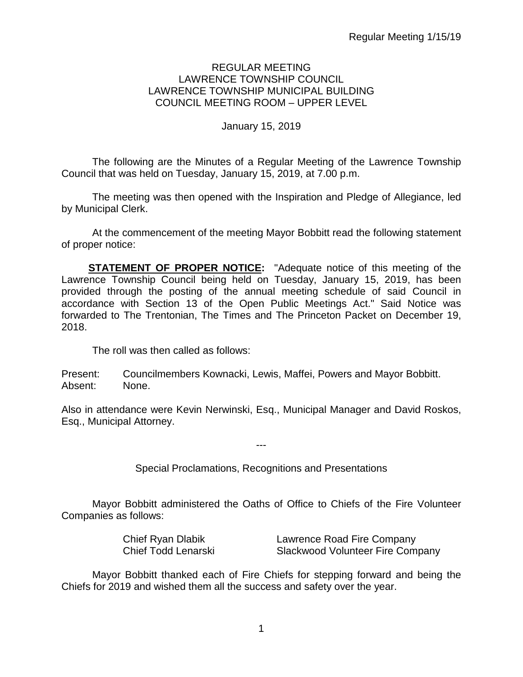#### REGULAR MEETING LAWRENCE TOWNSHIP COUNCIL LAWRENCE TOWNSHIP MUNICIPAL BUILDING COUNCIL MEETING ROOM – UPPER LEVEL

## January 15, 2019

The following are the Minutes of a Regular Meeting of the Lawrence Township Council that was held on Tuesday, January 15, 2019, at 7.00 p.m.

The meeting was then opened with the Inspiration and Pledge of Allegiance, led by Municipal Clerk.

At the commencement of the meeting Mayor Bobbitt read the following statement of proper notice:

**STATEMENT OF PROPER NOTICE:** "Adequate notice of this meeting of the Lawrence Township Council being held on Tuesday, January 15, 2019, has been provided through the posting of the annual meeting schedule of said Council in accordance with Section 13 of the Open Public Meetings Act." Said Notice was forwarded to The Trentonian, The Times and The Princeton Packet on December 19, 2018.

The roll was then called as follows:

Present: Councilmembers Kownacki, Lewis, Maffei, Powers and Mayor Bobbitt. Absent: None.

Also in attendance were Kevin Nerwinski, Esq., Municipal Manager and David Roskos, Esq., Municipal Attorney.

Special Proclamations, Recognitions and Presentations

---

Mayor Bobbitt administered the Oaths of Office to Chiefs of the Fire Volunteer Companies as follows:

| <b>Chief Ryan Dlabik</b> | Lawrence Road Fire Company       |
|--------------------------|----------------------------------|
| Chief Todd Lenarski      | Slackwood Volunteer Fire Company |

Mayor Bobbitt thanked each of Fire Chiefs for stepping forward and being the Chiefs for 2019 and wished them all the success and safety over the year.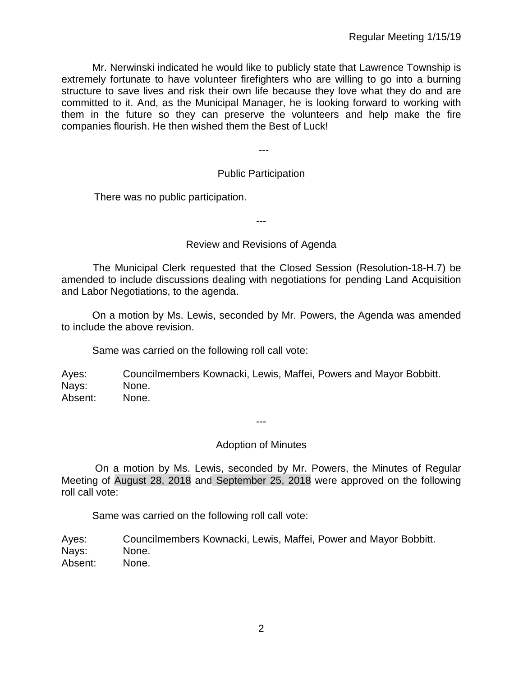Mr. Nerwinski indicated he would like to publicly state that Lawrence Township is extremely fortunate to have volunteer firefighters who are willing to go into a burning structure to save lives and risk their own life because they love what they do and are committed to it. And, as the Municipal Manager, he is looking forward to working with them in the future so they can preserve the volunteers and help make the fire companies flourish. He then wished them the Best of Luck!

Public Participation

---

There was no public participation.

---

## Review and Revisions of Agenda

 The Municipal Clerk requested that the Closed Session (Resolution-18-H.7) be amended to include discussions dealing with negotiations for pending Land Acquisition and Labor Negotiations, to the agenda.

On a motion by Ms. Lewis, seconded by Mr. Powers, the Agenda was amended to include the above revision.

Same was carried on the following roll call vote:

Ayes: Councilmembers Kownacki, Lewis, Maffei, Powers and Mayor Bobbitt. Nays: None. Absent: None.

---

## Adoption of Minutes

On a motion by Ms. Lewis, seconded by Mr. Powers, the Minutes of Regular Meeting of August 28, 2018 and September 25, 2018 were approved on the following roll call vote:

Same was carried on the following roll call vote:

Ayes: Councilmembers Kownacki, Lewis, Maffei, Power and Mayor Bobbitt. Nays: None. Absent: None.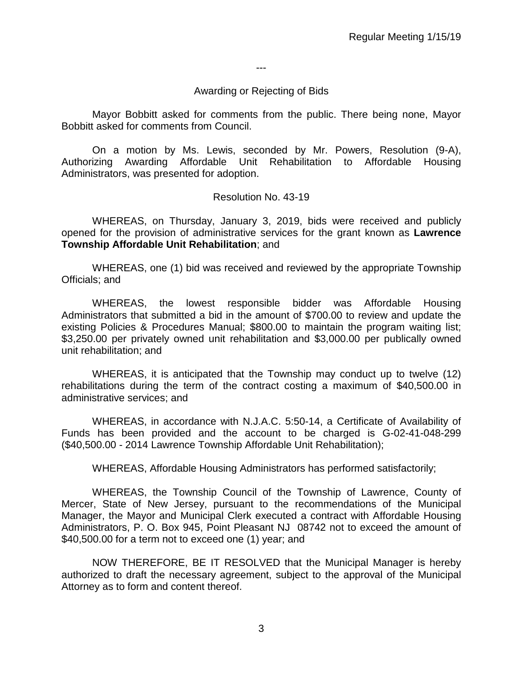---

#### Awarding or Rejecting of Bids

Mayor Bobbitt asked for comments from the public. There being none, Mayor Bobbitt asked for comments from Council.

On a motion by Ms. Lewis, seconded by Mr. Powers, Resolution (9-A), Authorizing Awarding Affordable Unit Rehabilitation to Affordable Housing Administrators, was presented for adoption.

#### Resolution No. 43-19

WHEREAS, on Thursday, January 3, 2019, bids were received and publicly opened for the provision of administrative services for the grant known as **Lawrence Township Affordable Unit Rehabilitation**; and

WHEREAS, one (1) bid was received and reviewed by the appropriate Township Officials; and

WHEREAS, the lowest responsible bidder was Affordable Housing Administrators that submitted a bid in the amount of \$700.00 to review and update the existing Policies & Procedures Manual; \$800.00 to maintain the program waiting list; \$3,250.00 per privately owned unit rehabilitation and \$3,000.00 per publically owned unit rehabilitation; and

WHEREAS, it is anticipated that the Township may conduct up to twelve (12) rehabilitations during the term of the contract costing a maximum of \$40,500.00 in administrative services; and

WHEREAS, in accordance with N.J.A.C. 5:50-14, a Certificate of Availability of Funds has been provided and the account to be charged is G-02-41-048-299 (\$40,500.00 - 2014 Lawrence Township Affordable Unit Rehabilitation);

WHEREAS, Affordable Housing Administrators has performed satisfactorily;

WHEREAS, the Township Council of the Township of Lawrence, County of Mercer, State of New Jersey, pursuant to the recommendations of the Municipal Manager, the Mayor and Municipal Clerk executed a contract with Affordable Housing Administrators, P. O. Box 945, Point Pleasant NJ 08742 not to exceed the amount of \$40,500.00 for a term not to exceed one (1) year; and

NOW THEREFORE, BE IT RESOLVED that the Municipal Manager is hereby authorized to draft the necessary agreement, subject to the approval of the Municipal Attorney as to form and content thereof.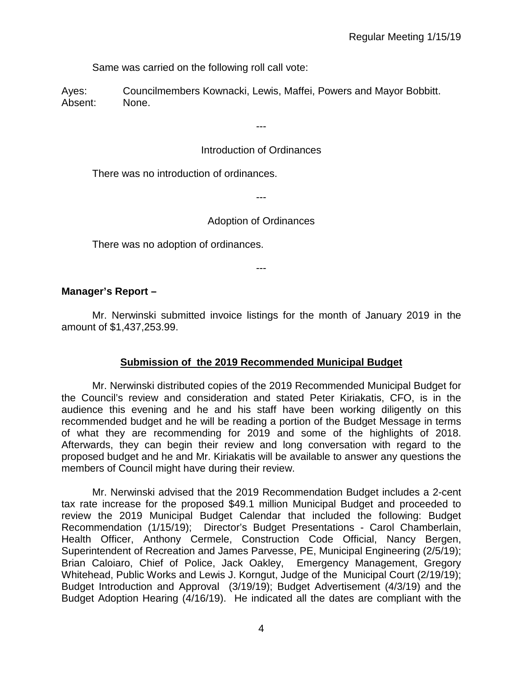Same was carried on the following roll call vote:

Ayes: Councilmembers Kownacki, Lewis, Maffei, Powers and Mayor Bobbitt. Absent: None.

Introduction of Ordinances

---

There was no introduction of ordinances.

---

## Adoption of Ordinances

There was no adoption of ordinances.

---

## **Manager's Report –**

Mr. Nerwinski submitted invoice listings for the month of January 2019 in the amount of \$1,437,253.99.

## **Submission of the 2019 Recommended Municipal Budget**

Mr. Nerwinski distributed copies of the 2019 Recommended Municipal Budget for the Council's review and consideration and stated Peter Kiriakatis, CFO, is in the audience this evening and he and his staff have been working diligently on this recommended budget and he will be reading a portion of the Budget Message in terms of what they are recommending for 2019 and some of the highlights of 2018. Afterwards, they can begin their review and long conversation with regard to the proposed budget and he and Mr. Kiriakatis will be available to answer any questions the members of Council might have during their review.

Mr. Nerwinski advised that the 2019 Recommendation Budget includes a 2-cent tax rate increase for the proposed \$49.1 million Municipal Budget and proceeded to review the 2019 Municipal Budget Calendar that included the following: Budget Recommendation (1/15/19); Director's Budget Presentations - Carol Chamberlain, Health Officer, Anthony Cermele, Construction Code Official, Nancy Bergen, Superintendent of Recreation and James Parvesse, PE, Municipal Engineering (2/5/19); Brian Caloiaro, Chief of Police, Jack Oakley, Emergency Management, Gregory Whitehead, Public Works and Lewis J. Korngut, Judge of the Municipal Court (2/19/19); Budget Introduction and Approval (3/19/19); Budget Advertisement (4/3/19) and the Budget Adoption Hearing (4/16/19). He indicated all the dates are compliant with the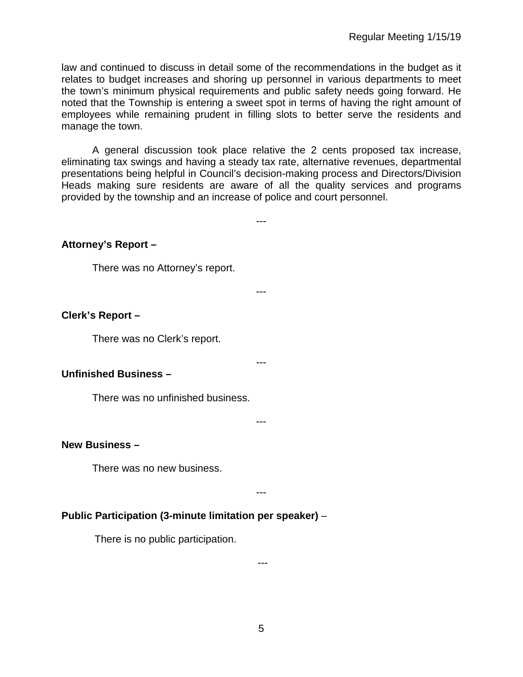law and continued to discuss in detail some of the recommendations in the budget as it relates to budget increases and shoring up personnel in various departments to meet the town's minimum physical requirements and public safety needs going forward. He noted that the Township is entering a sweet spot in terms of having the right amount of employees while remaining prudent in filling slots to better serve the residents and manage the town.

A general discussion took place relative the 2 cents proposed tax increase, eliminating tax swings and having a steady tax rate, alternative revenues, departmental presentations being helpful in Council's decision-making process and Directors/Division Heads making sure residents are aware of all the quality services and programs provided by the township and an increase of police and court personnel.

---

---

**Attorney's Report –**

There was no Attorney's report.

#### **Clerk's Report –**

There was no Clerk's report.

#### **Unfinished Business –**

There was no unfinished business.

---

---

## **New Business –**

There was no new business.

---

## **Public Participation (3-minute limitation per speaker)** –

There is no public participation.

---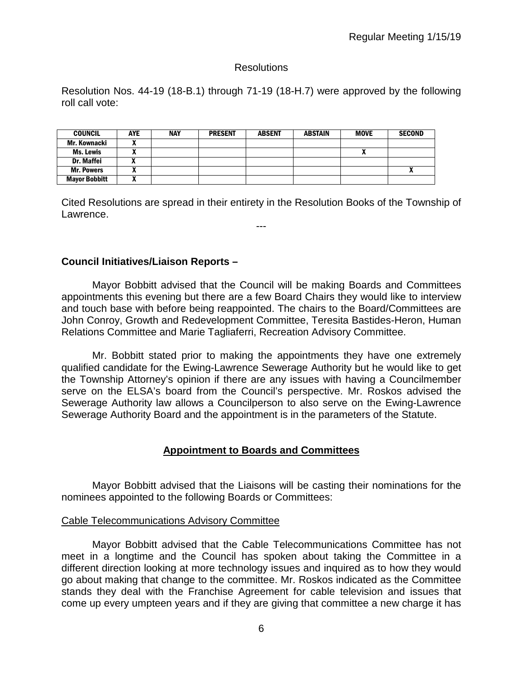## **Resolutions**

Resolution Nos. 44-19 (18-B.1) through 71-19 (18-H.7) were approved by the following roll call vote:

| <b>COUNCIL</b>       | <b>AYE</b> | <b>NAY</b> | <b>PRESENT</b> | <b>ABSENT</b> | <b>ABSTAIN</b> | <b>MOVE</b> | <b>SECOND</b> |
|----------------------|------------|------------|----------------|---------------|----------------|-------------|---------------|
| Mr. Kownacki         |            |            |                |               |                |             |               |
| Ms. Lewis            |            |            |                |               |                |             |               |
| <b>Dr. Maffei</b>    |            |            |                |               |                |             |               |
| <b>Mr. Powers</b>    | ,,,        |            |                |               |                |             |               |
| <b>Mayor Bobbitt</b> |            |            |                |               |                |             |               |

Cited Resolutions are spread in their entirety in the Resolution Books of the Township of Lawrence.

---

## **Council Initiatives/Liaison Reports –**

Mayor Bobbitt advised that the Council will be making Boards and Committees appointments this evening but there are a few Board Chairs they would like to interview and touch base with before being reappointed. The chairs to the Board/Committees are John Conroy, Growth and Redevelopment Committee, Teresita Bastides-Heron, Human Relations Committee and Marie Tagliaferri, Recreation Advisory Committee.

Mr. Bobbitt stated prior to making the appointments they have one extremely qualified candidate for the Ewing-Lawrence Sewerage Authority but he would like to get the Township Attorney's opinion if there are any issues with having a Councilmember serve on the ELSA's board from the Council's perspective. Mr. Roskos advised the Sewerage Authority law allows a Councilperson to also serve on the Ewing-Lawrence Sewerage Authority Board and the appointment is in the parameters of the Statute.

## **Appointment to Boards and Committees**

Mayor Bobbitt advised that the Liaisons will be casting their nominations for the nominees appointed to the following Boards or Committees:

## Cable Telecommunications Advisory Committee

Mayor Bobbitt advised that the Cable Telecommunications Committee has not meet in a longtime and the Council has spoken about taking the Committee in a different direction looking at more technology issues and inquired as to how they would go about making that change to the committee. Mr. Roskos indicated as the Committee stands they deal with the Franchise Agreement for cable television and issues that come up every umpteen years and if they are giving that committee a new charge it has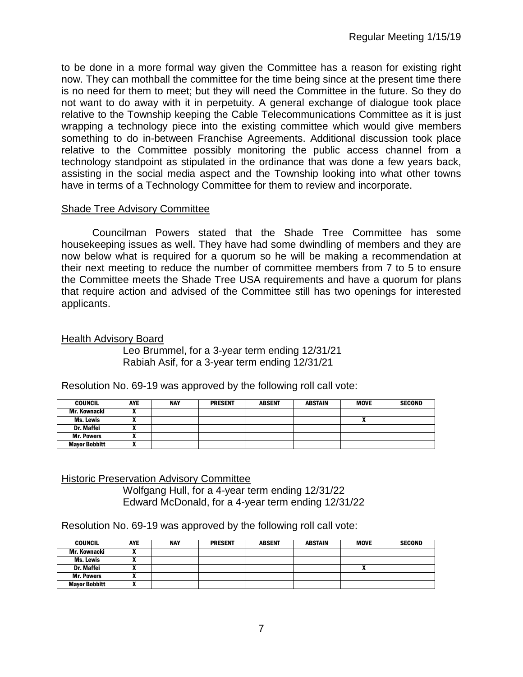to be done in a more formal way given the Committee has a reason for existing right now. They can mothball the committee for the time being since at the present time there is no need for them to meet; but they will need the Committee in the future. So they do not want to do away with it in perpetuity. A general exchange of dialogue took place relative to the Township keeping the Cable Telecommunications Committee as it is just wrapping a technology piece into the existing committee which would give members something to do in-between Franchise Agreements. Additional discussion took place relative to the Committee possibly monitoring the public access channel from a technology standpoint as stipulated in the ordinance that was done a few years back, assisting in the social media aspect and the Township looking into what other towns have in terms of a Technology Committee for them to review and incorporate.

## Shade Tree Advisory Committee

Councilman Powers stated that the Shade Tree Committee has some housekeeping issues as well. They have had some dwindling of members and they are now below what is required for a quorum so he will be making a recommendation at their next meeting to reduce the number of committee members from 7 to 5 to ensure the Committee meets the Shade Tree USA requirements and have a quorum for plans that require action and advised of the Committee still has two openings for interested applicants.

Health Advisory Board

Leo Brummel, for a 3-year term ending 12/31/21 Rabiah Asif, for a 3-year term ending 12/31/21

| <b>COUNCIL</b>       | <b>AYE</b> | <b>NAY</b> | <b>PRESENT</b> | <b>ABSENT</b> | <b>ABSTAIN</b> | <b>MOVE</b> | <b>SECOND</b> |
|----------------------|------------|------------|----------------|---------------|----------------|-------------|---------------|
| Mr. Kownacki         |            |            |                |               |                |             |               |
| Ms. Lewis            |            |            |                |               |                |             |               |
| <b>Dr. Maffei</b>    |            |            |                |               |                |             |               |
| <b>Mr. Powers</b>    |            |            |                |               |                |             |               |
| <b>Mayor Bobbitt</b> |            |            |                |               |                |             |               |

Resolution No. 69-19 was approved by the following roll call vote:

Historic Preservation Advisory Committee Wolfgang Hull, for a 4-year term ending 12/31/22 Edward McDonald, for a 4-year term ending 12/31/22

Resolution No. 69-19 was approved by the following roll call vote:

| <b>COUNCIL</b>       | AYE | <b>NAY</b> | <b>PRESENT</b> | <b>ABSENT</b> | <b>ABSTAIN</b> | <b>MOVE</b> | <b>SECOND</b> |
|----------------------|-----|------------|----------------|---------------|----------------|-------------|---------------|
| Mr. Kownacki         |     |            |                |               |                |             |               |
| Ms. Lewis            | . . |            |                |               |                |             |               |
| Dr. Maffei           | ~   |            |                |               |                |             |               |
| <b>Mr. Powers</b>    | "   |            |                |               |                |             |               |
| <b>Mayor Bobbitt</b> | "   |            |                |               |                |             |               |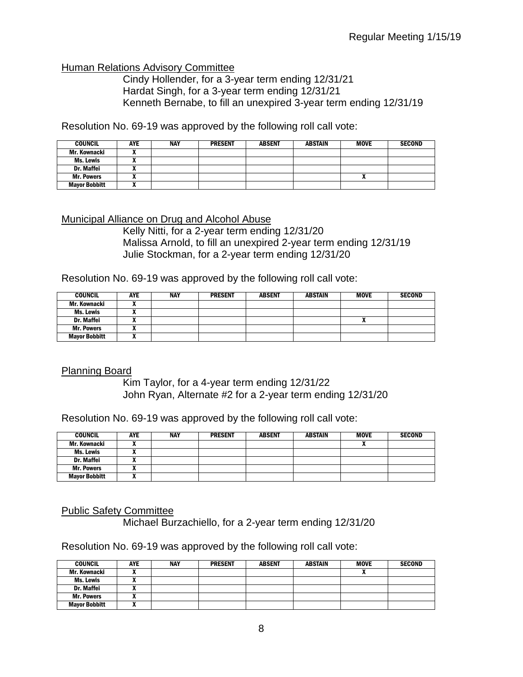## Human Relations Advisory Committee

Cindy Hollender, for a 3-year term ending 12/31/21 Hardat Singh, for a 3-year term ending 12/31/21 Kenneth Bernabe, to fill an unexpired 3-year term ending 12/31/19

Resolution No. 69-19 was approved by the following roll call vote:

| <b>COUNCIL</b>       | <b>AYE</b> | <b>NAY</b> | <b>PRESENT</b> | <b>ABSENT</b> | <b>ABSTAIN</b> | <b>MOVE</b> | <b>SECOND</b> |
|----------------------|------------|------------|----------------|---------------|----------------|-------------|---------------|
| Mr. Kownacki         |            |            |                |               |                |             |               |
| Ms. Lewis            |            |            |                |               |                |             |               |
| <b>Dr. Maffei</b>    |            |            |                |               |                |             |               |
| <b>Mr. Powers</b>    | "          |            |                |               |                | ^           |               |
| <b>Mayor Bobbitt</b> |            |            |                |               |                |             |               |

#### Municipal Alliance on Drug and Alcohol Abuse

Kelly Nitti, for a 2-year term ending 12/31/20 Malissa Arnold, to fill an unexpired 2-year term ending 12/31/19 Julie Stockman, for a 2-year term ending 12/31/20

Resolution No. 69-19 was approved by the following roll call vote:

| <b>COUNCIL</b>       | <b>AYE</b>   | <b>NAY</b> | <b>PRESENT</b> | <b>ABSENT</b> | <b>ABSTAIN</b> | <b>MOVE</b> | <b>SECOND</b> |
|----------------------|--------------|------------|----------------|---------------|----------------|-------------|---------------|
| Mr. Kownacki         |              |            |                |               |                |             |               |
| Ms. Lewis            |              |            |                |               |                |             |               |
| <b>Dr. Maffei</b>    | $\mathbf{v}$ |            |                |               |                |             |               |
| <b>Mr. Powers</b>    |              |            |                |               |                |             |               |
| <b>Mayor Bobbitt</b> |              |            |                |               |                |             |               |

## Planning Board

Kim Taylor, for a 4-year term ending 12/31/22 John Ryan, Alternate #2 for a 2-year term ending 12/31/20

Resolution No. 69-19 was approved by the following roll call vote:

| <b>COUNCIL</b>       | AYE | <b>NAY</b> | <b>PRESENT</b> | <b>ABSENT</b> | <b>ABSTAIN</b> | <b>MOVE</b> | <b>SECOND</b> |
|----------------------|-----|------------|----------------|---------------|----------------|-------------|---------------|
| Mr. Kownacki         |     |            |                |               |                | n           |               |
| Ms. Lewis            |     |            |                |               |                |             |               |
| Dr. Maffei           |     |            |                |               |                |             |               |
| <b>Mr. Powers</b>    |     |            |                |               |                |             |               |
| <b>Mayor Bobbitt</b> |     |            |                |               |                |             |               |

## Public Safety Committee

Michael Burzachiello, for a 2-year term ending 12/31/20

Resolution No. 69-19 was approved by the following roll call vote:

| <b>COUNCIL</b>       | <b>AYE</b> | NAY | <b>PRESENT</b> | <b>ABSENT</b> | <b>ABSTAIN</b> | <b>MOVE</b> | <b>SECOND</b> |
|----------------------|------------|-----|----------------|---------------|----------------|-------------|---------------|
| Mr. Kownacki         |            |     |                |               |                |             |               |
| Ms. Lewis            | "          |     |                |               |                |             |               |
| Dr. Maffei           |            |     |                |               |                |             |               |
| <b>Mr. Powers</b>    |            |     |                |               |                |             |               |
| <b>Mayor Bobbitt</b> | ^          |     |                |               |                |             |               |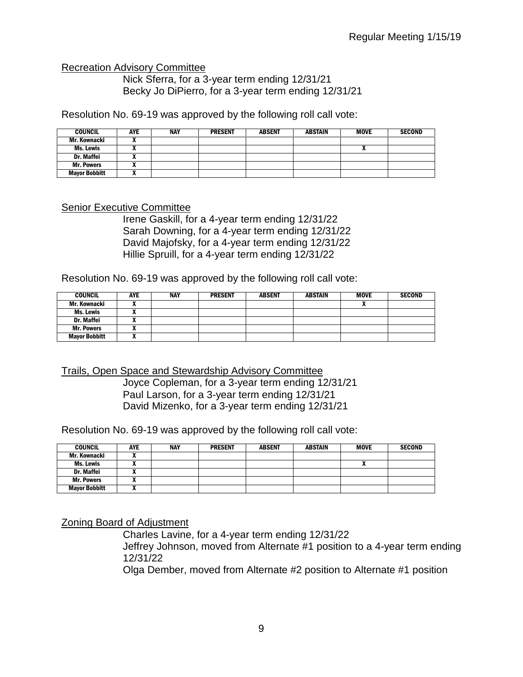#### Recreation Advisory Committee

Nick Sferra, for a 3-year term ending 12/31/21 Becky Jo DiPierro, for a 3-year term ending 12/31/21

Resolution No. 69-19 was approved by the following roll call vote:

| <b>COUNCIL</b>       | AYE | NAY | <b>PRESENT</b> | <b>ABSENT</b> | <b>ABSTAIN</b> | <b>MOVE</b> | <b>SECOND</b> |
|----------------------|-----|-----|----------------|---------------|----------------|-------------|---------------|
| Mr. Kownacki         |     |     |                |               |                |             |               |
| <b>Ms. Lewis</b>     |     |     |                |               |                | n           |               |
| <b>Dr. Maffei</b>    |     |     |                |               |                |             |               |
| <b>Mr. Powers</b>    |     |     |                |               |                |             |               |
| <b>Mayor Bobbitt</b> |     |     |                |               |                |             |               |

#### Senior Executive Committee

Irene Gaskill, for a 4-year term ending 12/31/22 Sarah Downing, for a 4-year term ending 12/31/22 David Majofsky, for a 4-year term ending 12/31/22 Hillie Spruill, for a 4-year term ending 12/31/22

Resolution No. 69-19 was approved by the following roll call vote:

| <b>COUNCIL</b>       | <b>AYE</b> | <b>NAY</b> | <b>PRESENT</b> | <b>ABSENT</b> | <b>ABSTAIN</b> | <b>MOVE</b> | <b>SECOND</b> |
|----------------------|------------|------------|----------------|---------------|----------------|-------------|---------------|
| Mr. Kownacki         |            |            |                |               |                |             |               |
| Ms. Lewis            |            |            |                |               |                |             |               |
| <b>Dr. Maffei</b>    |            |            |                |               |                |             |               |
| <b>Mr. Powers</b>    |            |            |                |               |                |             |               |
| <b>Mayor Bobbitt</b> |            |            |                |               |                |             |               |

Trails, Open Space and Stewardship Advisory Committee

Joyce Copleman, for a 3-year term ending 12/31/21 Paul Larson, for a 3-year term ending 12/31/21 David Mizenko, for a 3-year term ending 12/31/21

Resolution No. 69-19 was approved by the following roll call vote:

| <b>COUNCIL</b>       | <b>AYE</b> | <b>NAY</b> | <b>PRESENT</b> | <b>ABSENT</b> | <b>ABSTAIN</b> | <b>MOVE</b> | <b>SECOND</b> |
|----------------------|------------|------------|----------------|---------------|----------------|-------------|---------------|
| Mr. Kownacki         |            |            |                |               |                |             |               |
| Ms. Lewis            |            |            |                |               |                |             |               |
| <b>Dr. Maffei</b>    |            |            |                |               |                |             |               |
| <b>Mr. Powers</b>    |            |            |                |               |                |             |               |
| <b>Mayor Bobbitt</b> |            |            |                |               |                |             |               |

Zoning Board of Adjustment

Charles Lavine, for a 4-year term ending 12/31/22 Jeffrey Johnson, moved from Alternate #1 position to a 4-year term ending 12/31/22

Olga Dember, moved from Alternate #2 position to Alternate #1 position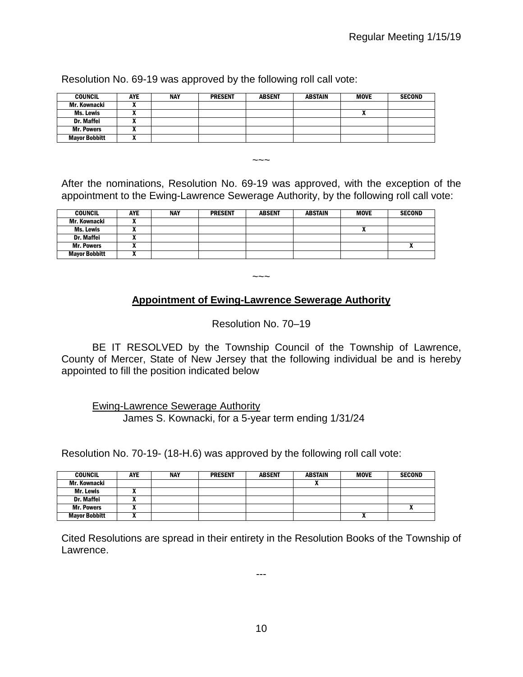| <b>COUNCIL</b>       | <b>AYE</b> | <b>NAY</b> | <b>PRESENT</b> | <b>ABSENT</b> | <b>ABSTAIN</b> | <b>MOVE</b> | <b>SECOND</b> |
|----------------------|------------|------------|----------------|---------------|----------------|-------------|---------------|
| Mr. Kownacki         |            |            |                |               |                |             |               |
| Ms. Lewis            |            |            |                |               |                |             |               |
| Dr. Maffei           |            |            |                |               |                |             |               |
| <b>Mr. Powers</b>    |            |            |                |               |                |             |               |
| <b>Mayor Bobbitt</b> |            |            |                |               |                |             |               |

Resolution No. 69-19 was approved by the following roll call vote:

After the nominations, Resolution No. 69-19 was approved, with the exception of the appointment to the Ewing-Lawrence Sewerage Authority, by the following roll call vote:

 $\sim\sim\sim$ 

| <b>COUNCIL</b>       | <b>AYE</b> | <b>NAY</b> | <b>PRESENT</b> | <b>ABSENT</b> | <b>ABSTAIN</b> | <b>MOVE</b> | <b>SECOND</b> |
|----------------------|------------|------------|----------------|---------------|----------------|-------------|---------------|
| Mr. Kownacki         |            |            |                |               |                |             |               |
| Ms. Lewis            |            |            |                |               |                |             |               |
| <b>Dr. Maffei</b>    | "          |            |                |               |                |             |               |
| <b>Mr. Powers</b>    |            |            |                |               |                |             |               |
| <b>Mayor Bobbitt</b> |            |            |                |               |                |             |               |

# **Appointment of Ewing-Lawrence Sewerage Authority**

 $\sim\sim\sim$ 

Resolution No. 70–19

BE IT RESOLVED by the Township Council of the Township of Lawrence, County of Mercer, State of New Jersey that the following individual be and is hereby appointed to fill the position indicated below

Ewing-Lawrence Sewerage Authority

James S. Kownacki, for a 5-year term ending 1/31/24

Resolution No. 70-19- (18-H.6) was approved by the following roll call vote:

| <b>COUNCIL</b>       | <b>AYE</b> | <b>NAY</b> | <b>PRESENT</b> | <b>ABSENT</b> | <b>ABSTAIN</b> | <b>MOVE</b> | <b>SECOND</b> |
|----------------------|------------|------------|----------------|---------------|----------------|-------------|---------------|
| Mr. Kownacki         |            |            |                |               |                |             |               |
| Mr. Lewis            |            |            |                |               |                |             |               |
| Dr. Maffei           |            |            |                |               |                |             |               |
| <b>Mr. Powers</b>    |            |            |                |               |                |             |               |
| <b>Mayor Bobbitt</b> |            |            |                |               |                |             |               |

Cited Resolutions are spread in their entirety in the Resolution Books of the Township of Lawrence.

---